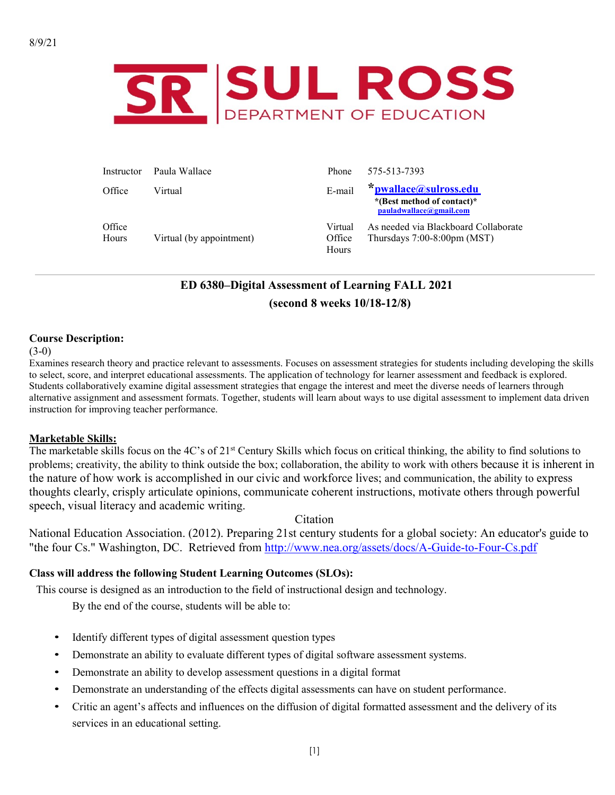

| Instructor      | – Paula Wallace          | Phone                      | 575-513-7393                                                                     |
|-----------------|--------------------------|----------------------------|----------------------------------------------------------------------------------|
| Office          | Virtual                  | E-mail                     | *pwallace@sulross.edu<br>*(Best method of contact)*<br>pauladwallace@gmail.com   |
| Office<br>Hours | Virtual (by appointment) | Virtual<br>Office<br>Hours | As needed via Blackboard Collaborate<br>Thursdays $7:00-8:00 \text{pm} \, (MST)$ |

# **ED 6380–Digital Assessment of Learning FALL 2021 (second 8 weeks 10/18-12/8)**

#### **Course Description:**

#### $(3-0)$

Examines research theory and practice relevant to assessments. Focuses on assessment strategies for students including developing the skills to select, score, and interpret educational assessments. The application of technology for learner assessment and feedback is explored. Students collaboratively examine digital assessment strategies that engage the interest and meet the diverse needs of learners through alternative assignment and assessment formats. Together, students will learn about ways to use digital assessment to implement data driven instruction for improving teacher performance.

#### **Marketable Skills:**

The marketable skills focus on the 4C's of 21<sup>st</sup> Century Skills which focus on critical thinking, the ability to find solutions to problems; creativity, the ability to think outside the box; collaboration, the ability to work with others because it is inherent in the nature of how work is accomplished in our civic and workforce lives; and communication, the ability to express thoughts clearly, crisply articulate opinions, communicate coherent instructions, motivate others through powerful speech, visual literacy and academic writing.

Citation

National Education Association. (2012). Preparing 21st century students for a global society: An educator's guide to "the four Cs." Washington, DC. Retrieved from<http://www.nea.org/assets/docs/A-Guide-to-Four-Cs.pdf>

#### **Class will address the following Student Learning Outcomes (SLOs):**

This course is designed as an introduction to the field of instructional design and technology.

By the end of the course, students will be able to:

- Identify different types of digital assessment question types
- Demonstrate an ability to evaluate different types of digital software assessment systems.
- Demonstrate an ability to develop assessment questions in a digital format
- Demonstrate an understanding of the effects digital assessments can have on student performance.
- Critic an agent's affects and influences on the diffusion of digital formatted assessment and the delivery of its services in an educational setting.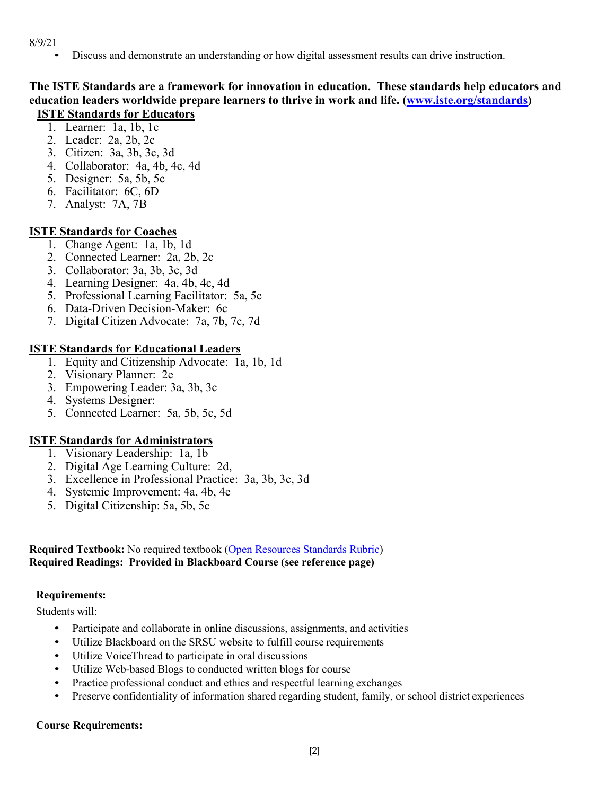8/9/21

• Discuss and demonstrate an understanding or how digital assessment results can drive instruction.

## **The ISTE Standards are a framework for innovation in education. These standards help educators and education leaders worldwide prepare learners to thrive in work and life. [\(www.iste.org/standards\)](http://www.iste.org/standards) ISTE Standards for Educators**

# 1. Learner: 1a, 1b, 1c

- 2. Leader: 2a, 2b, 2c
- 3. Citizen: 3a, 3b, 3c, 3d
- 4. Collaborator: 4a, 4b, 4c, 4d
- 5. Designer: 5a, 5b, 5c
- 6. Facilitator: 6C, 6D
- 7. Analyst: 7A, 7B

# **ISTE Standards for Coaches**

- 1. Change Agent: 1a, 1b, 1d
- 2. Connected Learner: 2a, 2b, 2c
- 3. Collaborator: 3a, 3b, 3c, 3d
- 4. Learning Designer: 4a, 4b, 4c, 4d
- 5. Professional Learning Facilitator: 5a, 5c
- 6. Data-Driven Decision-Maker: 6c
- 7. Digital Citizen Advocate: 7a, 7b, 7c, 7d

## **ISTE Standards for Educational Leaders**

- 1. Equity and Citizenship Advocate: 1a, 1b, 1d
- 2. Visionary Planner: 2e
- 3. Empowering Leader: 3a, 3b, 3c
- 4. Systems Designer:
- 5. Connected Learner: 5a, 5b, 5c, 5d

# **ISTE Standards for Administrators**

- 1. Visionary Leadership: 1a, 1b
- 2. Digital Age Learning Culture: 2d,
- 3. Excellence in Professional Practice: 3a, 3b, 3c, 3d
- 4. Systemic Improvement: 4a, 4b, 4e
- 5. Digital Citizenship: 5a, 5b, 5c

## **Required Textbook:** No required textbook [\(Open Resources Standards Rubric\)](https://www.achieve.org/files/AchieveOERRubrics.pdf) **Required Readings: Provided in Blackboard Course (see reference page)**

## **Requirements:**

Students will:

- Participate and collaborate in online discussions, assignments, and activities
- Utilize Blackboard on the SRSU website to fulfill course requirements
- Utilize VoiceThread to participate in oral discussions
- Utilize Web-based Blogs to conducted written blogs for course
- Practice professional conduct and ethics and respectful learning exchanges
- Preserve confidentiality of information shared regarding student, family, or school district experiences

## **Course Requirements:**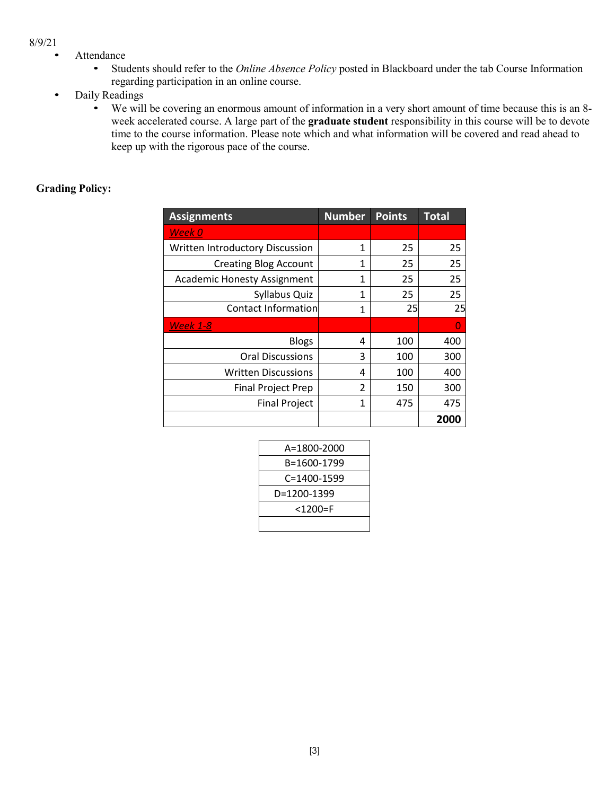#### 8/9/21

- Attendance
	- Students should refer to the *Online Absence Policy* posted in Blackboard under the tab Course Information regarding participation in an online course.
- Daily Readings
	- We will be covering an enormous amount of information in a very short amount of time because this is an 8 week accelerated course. A large part of the **graduate student** responsibility in this course will be to devote time to the course information. Please note which and what information will be covered and read ahead to keep up with the rigorous pace of the course.

#### **Grading Policy:**

| <b>Assignments</b>                 | <b>Number</b> | <b>Points</b> | <b>Total</b> |
|------------------------------------|---------------|---------------|--------------|
| Week 0                             |               |               |              |
| Written Introductory Discussion    | 1             | 25            | 25           |
| <b>Creating Blog Account</b>       | 1             | 25            | 25           |
| <b>Academic Honesty Assignment</b> | 1             | 25            | 25           |
| Syllabus Quiz                      | 1             | 25            | 25           |
| Contact Information                | 1             | 25            | 25           |
| <b>Week 1-8</b>                    |               |               | $\Omega$     |
| <b>Blogs</b>                       | 4             | 100           | 400          |
| <b>Oral Discussions</b>            | 3             | 100           | 300          |
| <b>Written Discussions</b>         | 4             | 100           | 400          |
| <b>Final Project Prep</b>          | 2             | 150           | 300          |
| <b>Final Project</b>               | 1             | 475           | 475          |
|                                    |               |               | 2000         |

| A=1800-2000 |
|-------------|
| B=1600-1799 |
| C=1400-1599 |
| D=1200-1399 |
| $<$ 1200=F  |
|             |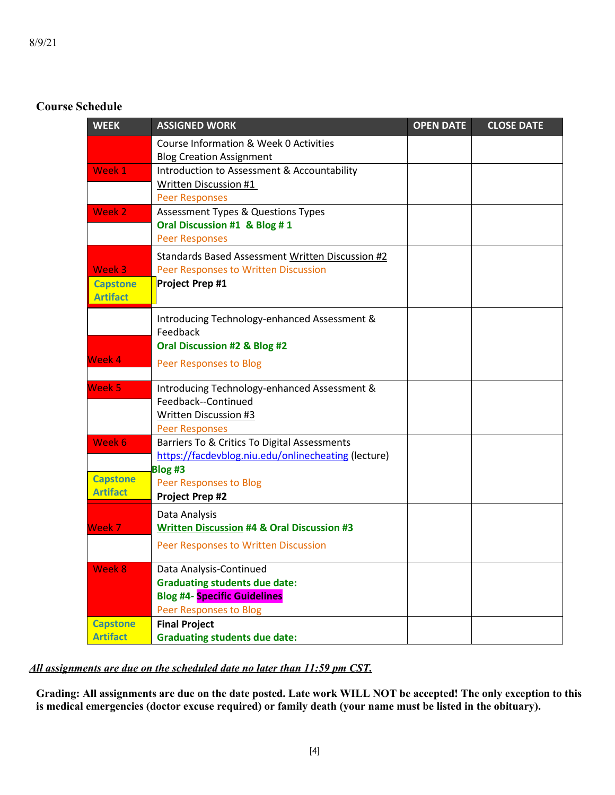# **Course Schedule**

| <b>WEEK</b>     | <b>ASSIGNED WORK</b>                                  | <b>OPEN DATE</b> | <b>CLOSE DATE</b> |
|-----------------|-------------------------------------------------------|------------------|-------------------|
|                 | Course Information & Week 0 Activities                |                  |                   |
|                 | <b>Blog Creation Assignment</b>                       |                  |                   |
| Week 1          | Introduction to Assessment & Accountability           |                  |                   |
|                 | Written Discussion #1                                 |                  |                   |
|                 | <b>Peer Responses</b>                                 |                  |                   |
| Week 2          | <b>Assessment Types &amp; Questions Types</b>         |                  |                   |
|                 | Oral Discussion #1 & Blog #1                          |                  |                   |
|                 | <b>Peer Responses</b>                                 |                  |                   |
|                 | Standards Based Assessment Written Discussion #2      |                  |                   |
| Week 3          | Peer Responses to Written Discussion                  |                  |                   |
| <b>Capstone</b> | Project Prep #1                                       |                  |                   |
| <b>Artifact</b> |                                                       |                  |                   |
|                 | Introducing Technology-enhanced Assessment &          |                  |                   |
|                 | Feedback                                              |                  |                   |
|                 | Oral Discussion #2 & Blog #2                          |                  |                   |
| Week 4          | <b>Peer Responses to Blog</b>                         |                  |                   |
|                 |                                                       |                  |                   |
| Week 5          | Introducing Technology-enhanced Assessment &          |                  |                   |
|                 | Feedback--Continued                                   |                  |                   |
|                 | Written Discussion #3                                 |                  |                   |
|                 | <b>Peer Responses</b>                                 |                  |                   |
| Week 6          | Barriers To & Critics To Digital Assessments          |                  |                   |
|                 | https://facdevblog.niu.edu/onlinecheating (lecture)   |                  |                   |
| <b>Capstone</b> | Blog #3                                               |                  |                   |
| <b>Artifact</b> | <b>Peer Responses to Blog</b>                         |                  |                   |
|                 | <b>Project Prep #2</b>                                |                  |                   |
|                 | Data Analysis                                         |                  |                   |
| Week 7          | <b>Written Discussion #4 &amp; Oral Discussion #3</b> |                  |                   |
|                 | Peer Responses to Written Discussion                  |                  |                   |
| Week 8          | Data Analysis-Continued                               |                  |                   |
|                 | <b>Graduating students due date:</b>                  |                  |                   |
|                 | <b>Blog #4- Specific Guidelines</b>                   |                  |                   |
|                 | <b>Peer Responses to Blog</b>                         |                  |                   |
| <b>Capstone</b> | <b>Final Project</b>                                  |                  |                   |
| <b>Artifact</b> | <b>Graduating students due date:</b>                  |                  |                   |

## *All assignments are due on the scheduled date no later than 11:59 pm CST.*

**Grading: All assignments are due on the date posted. Late work WILL NOT be accepted! The only exception to this is medical emergencies (doctor excuse required) or family death (your name must be listed in the obituary).**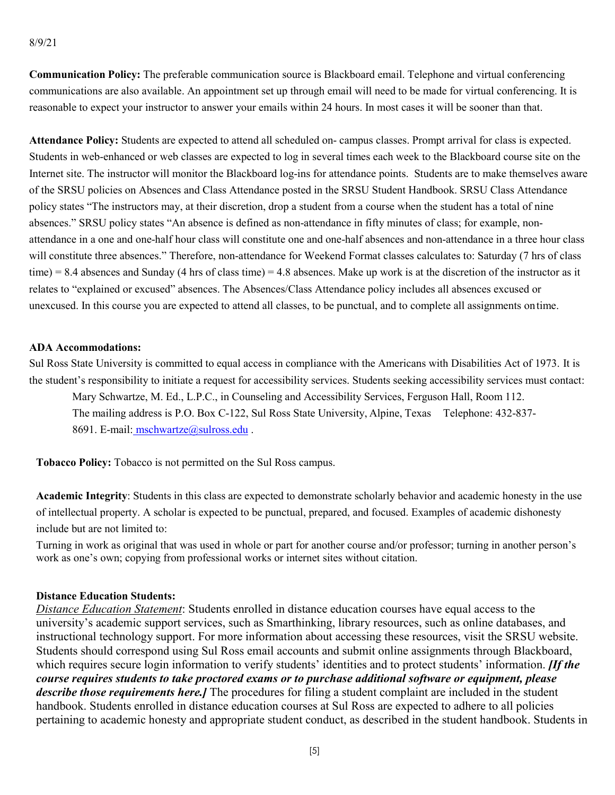**Communication Policy:** The preferable communication source is Blackboard email. Telephone and virtual conferencing communications are also available. An appointment set up through email will need to be made for virtual conferencing. It is reasonable to expect your instructor to answer your emails within 24 hours. In most cases it will be sooner than that.

**Attendance Policy:** Students are expected to attend all scheduled on- campus classes. Prompt arrival for class is expected. Students in web-enhanced or web classes are expected to log in several times each week to the Blackboard course site on the Internet site. The instructor will monitor the Blackboard log-ins for attendance points. Students are to make themselves aware of the SRSU policies on Absences and Class Attendance posted in the SRSU Student Handbook. SRSU Class Attendance policy states "The instructors may, at their discretion, drop a student from a course when the student has a total of nine absences." SRSU policy states "An absence is defined as non-attendance in fifty minutes of class; for example, nonattendance in a one and one-half hour class will constitute one and one-half absences and non-attendance in a three hour class will constitute three absences." Therefore, non-attendance for Weekend Format classes calculates to: Saturday (7 hrs of class time) = 8.4 absences and Sunday (4 hrs of class time) = 4.8 absences. Make up work is at the discretion of the instructor as it relates to "explained or excused" absences. The Absences/Class Attendance policy includes all absences excused or unexcused. In this course you are expected to attend all classes, to be punctual, and to complete all assignments ontime.

#### **ADA Accommodations:**

Sul Ross State University is committed to equal access in compliance with the Americans with Disabilities Act of 1973. It is the student's responsibility to initiate a request for accessibility services. Students seeking accessibility services must contact:

Mary Schwartze, M. Ed., L.P.C., in Counseling and Accessibility Services, Ferguson Hall, Room 112. The mailing address is P.O. Box C-122, Sul Ross State University, Alpine, Texas Telephone: 432-837 8691. E-mail: [mschwartze@sulross.edu](mailto:%20%20mschwartze@sulross.edu).

**Tobacco Policy:** Tobacco is not permitted on the Sul Ross campus.

**Academic Integrity**: Students in this class are expected to demonstrate scholarly behavior and academic honesty in the use of intellectual property. A scholar is expected to be punctual, prepared, and focused. Examples of academic dishonesty include but are not limited to:

Turning in work as original that was used in whole or part for another course and/or professor; turning in another person's work as one's own; copying from professional works or internet sites without citation.

#### **Distance Education Students:**

*Distance Education Statement*: Students enrolled in distance education courses have equal access to the university's academic support services, such as Smarthinking, library resources, such as online databases, and instructional technology support. For more information about accessing these resources, visit the SRSU website. Students should correspond using Sul Ross email accounts and submit online assignments through Blackboard, which requires secure login information to verify students' identities and to protect students' information. *IIf the course requires students to take proctored exams or to purchase additional software or equipment, please describe those requirements here.]* The procedures for filing a student complaint are included in the student handbook. Students enrolled in distance education courses at Sul Ross are expected to adhere to all policies pertaining to academic honesty and appropriate student conduct, as described in the student handbook. Students in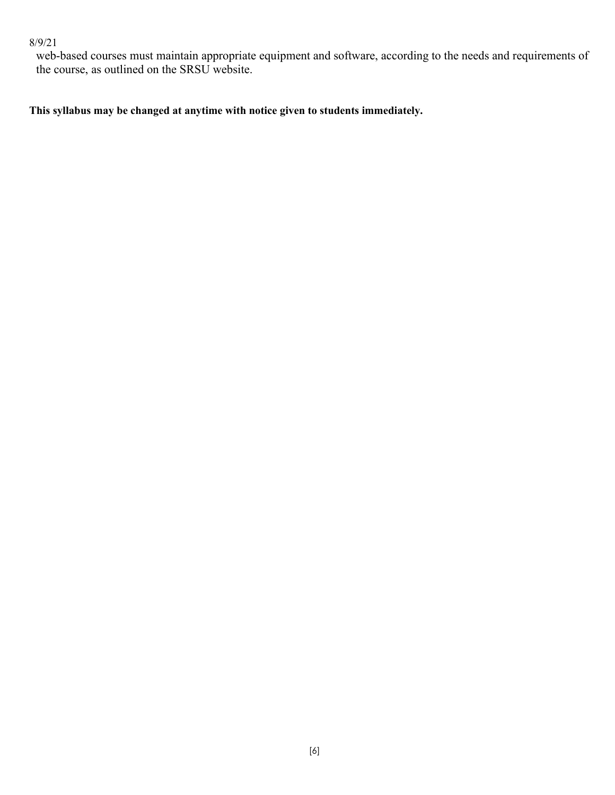## 8/9/21

web-based courses must maintain appropriate equipment and software, according to the needs and requirements of the course, as outlined on the SRSU website.

**This syllabus may be changed at anytime with notice given to students immediately.**